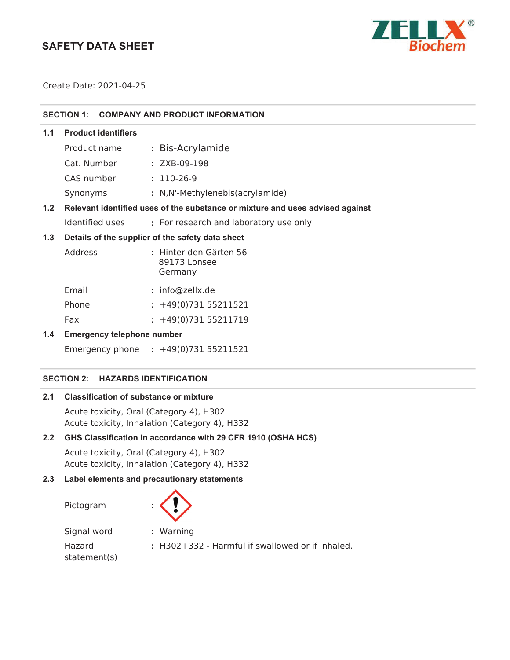# **SAFETY DATA SHEET**



Create Date: 2021-04-25

#### **SECTION 1: COMPANY AND PRODUCT INFORMATION**

## **1.1 Product identifiers**

| Product name | : Bis-Acrylamide                |
|--------------|---------------------------------|
| Cat. Number  | $: ZXB-09-198$                  |
| CAS number   | $: 110 - 26 - 9$                |
| Synonyms     | : N,N'-Methylenebis(acrylamide) |

## **1.2 Relevant identified uses of the substance or mixture and uses advised against**

Identified uses **:** For research and laboratory use only.

## **1.3 Details of the supplier of the safety data sheet**

| Address | : Hinter den Gärten 56<br>89173 Lonsee<br>Germany |
|---------|---------------------------------------------------|
| Email   | : info@zellx.de                                   |
| Phone   | $: +49(0)73155211521$                             |

Fax : +49(0)731 55211719

## **1.4 Emergency telephone number**

Emergency phone **:** 

#### **SECTION 2: HAZARDS IDENTIFICATION**

### **2.1 Classification of substance or mixture**

Acute toxicity, Oral (Category 4), H302 Acute toxicity, Inhalation (Category 4), H332

## **2.2 GHS Classification in accordance with 29 CFR 1910 (OSHA HCS)**

Acute toxicity, Oral (Category 4), H302 Acute toxicity, Inhalation (Category 4), H332

#### **2.3 Label elements and precautionary statements**

Pictogram **:**



Signal word **:** Warning Hazard

**:** H302+332 - Harmful if swallowed or if inhaled.

statement(s)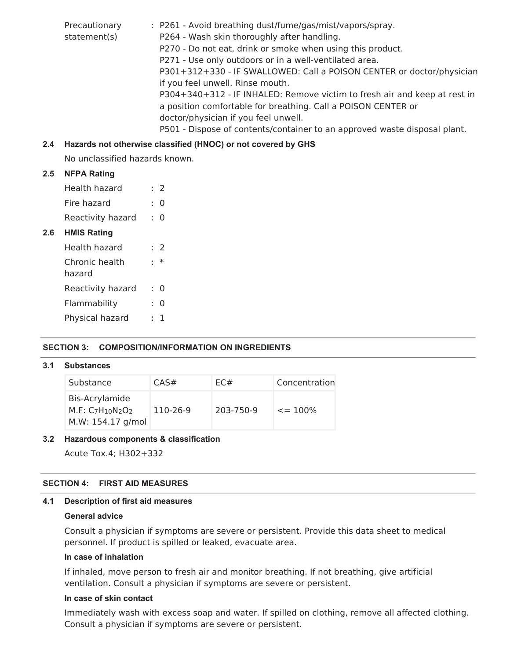Precautionary statement(s) **:** P261 - Avoid breathing dust/fume/gas/mist/vapors/spray. P264 - Wash skin thoroughly after handling. P270 - Do not eat, drink or smoke when using this product. P271 - Use only outdoors or in a well-ventilated area. P301+312+330 - IF SWALLOWED: Call a POISON CENTER or doctor/physician if you feel unwell. Rinse mouth. P304+340+312 - IF INHALED: Remove victim to fresh air and keep at rest in a position comfortable for breathing. Call a POISON CENTER or doctor/physician if you feel unwell. P501 - Dispose of contents/container to an approved waste disposal plant.

## **2.4 Hazards not otherwise classified (HNOC) or not covered by GHS**

No unclassified hazards known.

## **2.5 NFPA Rating**

**2.6** 

| Health hazard            |    | : 2    |
|--------------------------|----|--------|
| Fire hazard              | ۰  | 0      |
| Reactivity hazard        | ٠. | 0      |
| <b>HMIS Rating</b>       |    |        |
| Health hazard            |    | : 2    |
| Chronic health<br>hazard | ٠. | $\ast$ |
| Reactivity hazard        | t. | O      |
| Flammability             | ۴  | O      |
|                          |    |        |

Physical hazard **:** 1

## **SECTION 3: COMPOSITION/INFORMATION ON INGREDIENTS**

#### **3.1 Substances**

| Substance                                               | CAS#     | EC#       | Concentration |
|---------------------------------------------------------|----------|-----------|---------------|
| Bis-Acrylamide<br>$M.F: C7H10N2O2$<br>M.W: 154.17 g/mol | 110-26-9 | 203-750-9 | $\leq$ = 100% |

#### **3.2 Hazardous components & classification**

Acute Tox.4; H302+332

## **SECTION 4: FIRST AID MEASURES**

#### **4.1 Description of first aid measures**

#### **General advice**

Consult a physician if symptoms are severe or persistent. Provide this data sheet to medical personnel. If product is spilled or leaked, evacuate area.

#### **In case of inhalation**

If inhaled, move person to fresh air and monitor breathing. If not breathing, give artificial ventilation. Consult a physician if symptoms are severe or persistent.

#### **In case of skin contact**

Immediately wash with excess soap and water. If spilled on clothing, remove all affected clothing. Consult a physician if symptoms are severe or persistent.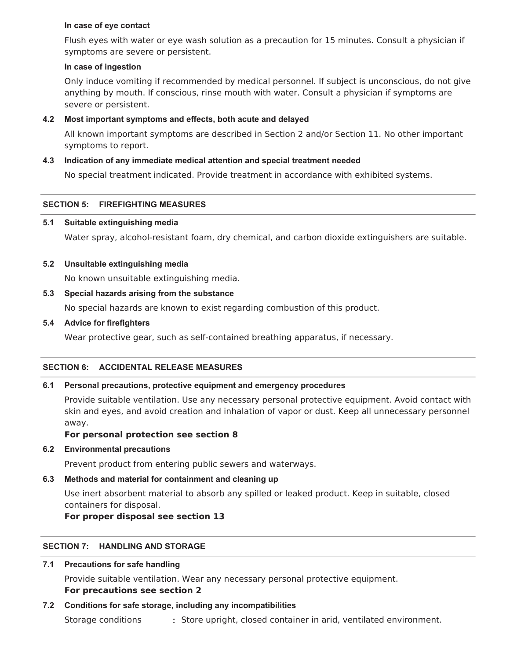### **In case of eye contact**

Flush eyes with water or eye wash solution as a precaution for 15 minutes. Consult a physician if symptoms are severe or persistent.

### **In case of ingestion**

Only induce vomiting if recommended by medical personnel. If subject is unconscious, do not give anything by mouth. If conscious, rinse mouth with water. Consult a physician if symptoms are severe or persistent.

## **4.2 Most important symptoms and effects, both acute and delayed**

All known important symptoms are described in Section 2 and/or Section 11. No other important symptoms to report.

## **4.3 Indication of any immediate medical attention and special treatment needed**

No special treatment indicated. Provide treatment in accordance with exhibited systems.

## **SECTION 5: FIREFIGHTING MEASURES**

### **5.1 Suitable extinguishing media**

Water spray, alcohol-resistant foam, dry chemical, and carbon dioxide extinguishers are suitable.

### **5.2 Unsuitable extinguishing media**

No known unsuitable extinguishing media.

### **5.3 Special hazards arising from the substance**

No special hazards are known to exist regarding combustion of this product.

### **5.4 Advice for firefighters**

Wear protective gear, such as self-contained breathing apparatus, if necessary.

## **SECTION 6: ACCIDENTAL RELEASE MEASURES**

## **6.1 Personal precautions, protective equipment and emergency procedures**

Provide suitable ventilation. Use any necessary personal protective equipment. Avoid contact with skin and eyes, and avoid creation and inhalation of vapor or dust. Keep all unnecessary personnel away.

## **For personal protection see section 8**

#### **6.2 Environmental precautions**

Prevent product from entering public sewers and waterways.

## **6.3 Methods and material for containment and cleaning up**

Use inert absorbent material to absorb any spilled or leaked product. Keep in suitable, closed containers for disposal.

## **For proper disposal see section 13**

## **SECTION 7: HANDLING AND STORAGE**

## **7.1 Precautions for safe handling**

Provide suitable ventilation. Wear any necessary personal protective equipment.

## **For precautions see section 2**

## **7.2 Conditions for safe storage, including any incompatibilities**

Storage conditions **:** Store upright, closed container in arid, ventilated environment.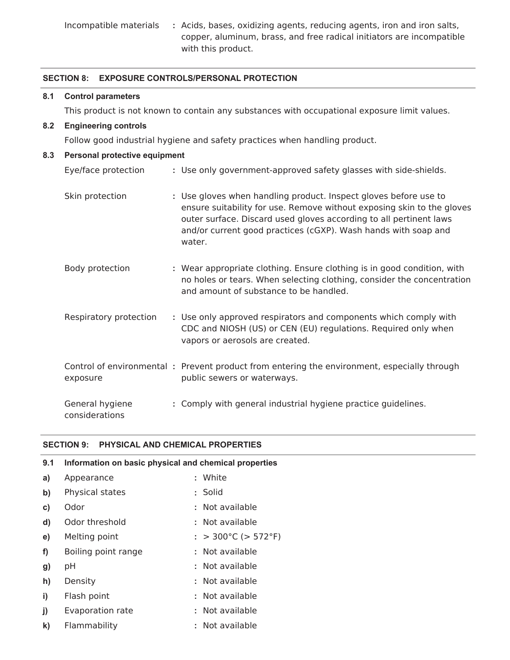Incompatible materials **:** Acids, bases, oxidizing agents, reducing agents, iron and iron salts, copper, aluminum, brass, and free radical initiators are incompatible with this product.

## **SECTION 8: EXPOSURE CONTROLS/PERSONAL PROTECTION**

#### **8.1 Control parameters**

This product is not known to contain any substances with occupational exposure limit values.

#### **8.2 Engineering controls**

Follow good industrial hygiene and safety practices when handling product.

## **8.3 Personal protective equipment**

| Eye/face protection               | : Use only government-approved safety glasses with side-shields.                                                                                                                                                                                                                             |
|-----------------------------------|----------------------------------------------------------------------------------------------------------------------------------------------------------------------------------------------------------------------------------------------------------------------------------------------|
| Skin protection                   | : Use gloves when handling product. Inspect gloves before use to<br>ensure suitability for use. Remove without exposing skin to the gloves<br>outer surface. Discard used gloves according to all pertinent laws<br>and/or current good practices (cGXP). Wash hands with soap and<br>water. |
| Body protection                   | : Wear appropriate clothing. Ensure clothing is in good condition, with<br>no holes or tears. When selecting clothing, consider the concentration<br>and amount of substance to be handled.                                                                                                  |
| Respiratory protection            | : Use only approved respirators and components which comply with<br>CDC and NIOSH (US) or CEN (EU) regulations. Required only when<br>vapors or aerosols are created.                                                                                                                        |
| exposure                          | Control of environmental: Prevent product from entering the environment, especially through<br>public sewers or waterways.                                                                                                                                                                   |
| General hygiene<br>considerations | : Comply with general industrial hygiene practice guidelines.                                                                                                                                                                                                                                |

#### **SECTION 9: PHYSICAL AND CHEMICAL PROPERTIES**

| 9.1           | Information on basic physical and chemical properties |  |                          |  |  |
|---------------|-------------------------------------------------------|--|--------------------------|--|--|
| a)            | Appearance                                            |  | : White                  |  |  |
| $\mathbf{b}$  | Physical states                                       |  | : Solid                  |  |  |
| $\mathbf{c})$ | Odor                                                  |  | : Not available          |  |  |
| $\mathbf{d}$  | Odor threshold                                        |  | : Not available          |  |  |
| e)            | Melting point                                         |  | : $>$ 300°C ( $>$ 572°F) |  |  |
| f)            | Boiling point range                                   |  | : Not available          |  |  |
| g)            | pH                                                    |  | : Not available          |  |  |
| h)            | Density                                               |  | : Not available          |  |  |
| $\mathbf{i}$  | Flash point                                           |  | : Not available          |  |  |
| j)            | Evaporation rate                                      |  | : Not available          |  |  |
| $\mathsf{k}$  | Flammability                                          |  | : Not available          |  |  |
|               |                                                       |  |                          |  |  |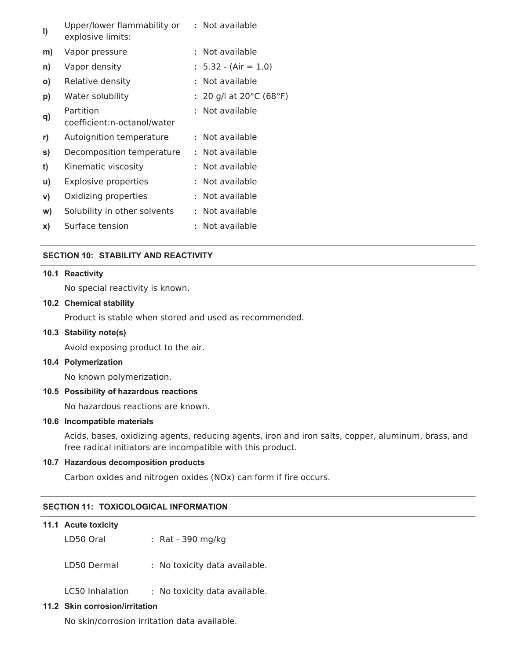| $\vert$      | Upper/lower flammability or<br>explosive limits: |    | : Not available                               |
|--------------|--------------------------------------------------|----|-----------------------------------------------|
| m)           | Vapor pressure                                   | t. | Not available                                 |
| n)           | Vapor density                                    |    | $: 5.32 - (Air = 1.0)$                        |
| O)           | Relative density                                 |    | Not available                                 |
| p)           | Water solubility                                 |    | : 20 g/l at 20 $^{\circ}$ C (68 $^{\circ}$ F) |
| q)           | Partition<br>coefficient:n-octanol/water         | ÷. | Not available                                 |
| r)           | Autoignition temperature                         |    | : Not available                               |
| s)           | Decomposition temperature                        |    | : Not available                               |
| t)           | Kinematic viscosity                              |    | : Not available                               |
| $\mathsf{u}$ | Explosive properties                             | t. | Not available                                 |
| V)           | Oxidizing properties                             |    | : Not available                               |
| W)           | Solubility in other solvents                     | t. | Not available                                 |
| x)           | Surface tension                                  |    | Not available                                 |

## **SECTION 10: STABILITY AND REACTIVITY**

#### **10.1 Reactivity**

No special reactivity is known.

#### **10.2 Chemical stability**

Product is stable when stored and used as recommended.

#### **10.3 Stability note(s)**

Avoid exposing product to the air.

#### **10.4 Polymerization**

No known polymerization.

## **10.5 Possibility of hazardous reactions**

No hazardous reactions are known.

### **10.6 Incompatible materials**

Acids, bases, oxidizing agents, reducing agents, iron and iron salts, copper, aluminum, brass, and free radical initiators are incompatible with this product.

#### **10.7 Hazardous decomposition products**

Carbon oxides and nitrogen oxides (NOx) can form if fire occurs.

### **SECTION 11: TOXICOLOGICAL INFORMATION**

| 11.1 Acute toxicity |                               |
|---------------------|-------------------------------|
| LD50 Oral           | : Rat - 390 mg/kg             |
| LD50 Dermal         | : No toxicity data available. |

LC50 Inhalation **:** No toxicity data available.

## **11.2 Skin corrosion/irritation**

No skin/corrosion irritation data available.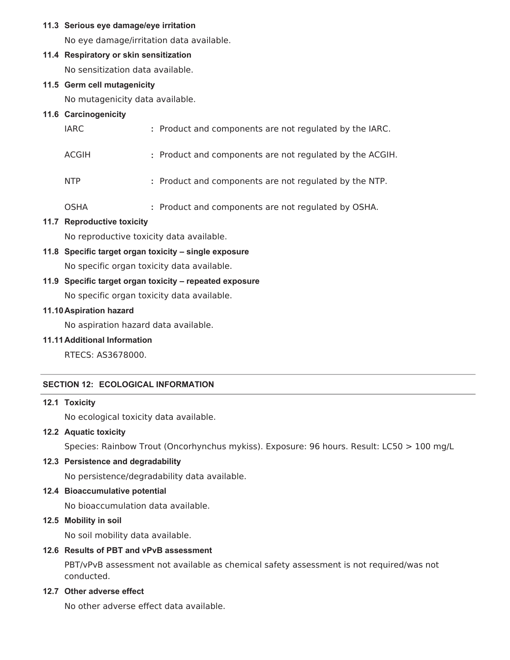## **11.3 Serious eye damage/eye irritation**

No eye damage/irritation data available.

## **11.4 Respiratory or skin sensitization**

No sensitization data available.

## **11.5 Germ cell mutagenicity**

No mutagenicity data available.

## **11.6 Carcinogenicity**

| IARC  | : Product and components are not regulated by the IARC.  |
|-------|----------------------------------------------------------|
| ACGIH | : Product and components are not regulated by the ACGIH. |
| NTP.  | : Product and components are not regulated by the NTP.   |
| OSHA  | : Product and components are not regulated by OSHA.      |

## **11.7 Reproductive toxicity**

No reproductive toxicity data available.

**11.8 Specific target organ toxicity – single exposure**

No specific organ toxicity data available.

## **11.9 Specific target organ toxicity – repeated exposure**

No specific organ toxicity data available.

## **11.10Aspiration hazard**

No aspiration hazard data available.

## **11.11Additional Information**

RTECS: AS3678000.

## **SECTION 12: ECOLOGICAL INFORMATION**

## **12.1 Toxicity**

No ecological toxicity data available.

## **12.2 Aquatic toxicity**

Species: Rainbow Trout (Oncorhynchus mykiss). Exposure: 96 hours. Result: LC50 > 100 mg/L

## **12.3 Persistence and degradability**

No persistence/degradability data available.

## **12.4 Bioaccumulative potential**

No bioaccumulation data available.

## **12.5 Mobility in soil**

No soil mobility data available.

## **12.6 Results of PBT and vPvB assessment**

PBT/vPvB assessment not available as chemical safety assessment is not required/was not conducted.

## **12.7 Other adverse effect**

No other adverse effect data available.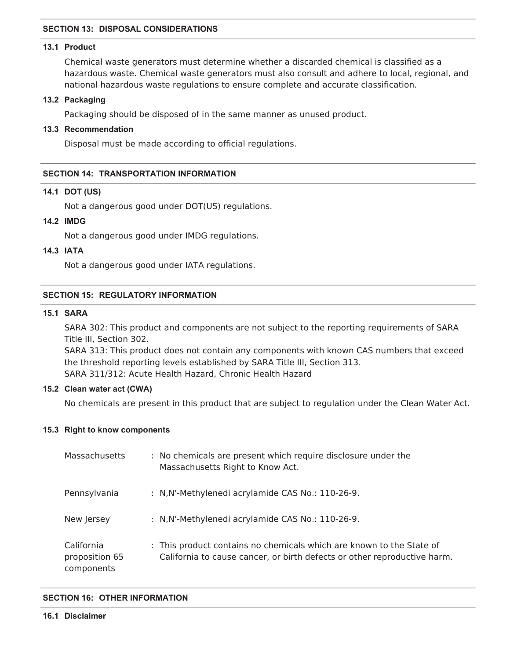### **SECTION 13: DISPOSAL CONSIDERATIONS**

### **13.1 Product**

Chemical waste generators must determine whether a discarded chemical is classified as a hazardous waste. Chemical waste generators must also consult and adhere to local, regional, and national hazardous waste regulations to ensure complete and accurate classification.

#### **13.2 Packaging**

Packaging should be disposed of in the same manner as unused product.

#### **13.3 Recommendation**

Disposal must be made according to official regulations.

#### **SECTION 14: TRANSPORTATION INFORMATION**

#### **14.1 DOT (US)**

Not a dangerous good under DOT(US) regulations.

## **14.2 IMDG**

Not a dangerous good under IMDG regulations.

#### **14.3 IATA**

Not a dangerous good under IATA regulations.

#### **SECTION 15: REGULATORY INFORMATION**

#### **15.1 SARA**

SARA 302: This product and components are not subject to the reporting requirements of SARA Title III, Section 302.

SARA 313: This product does not contain any components with known CAS numbers that exceed the threshold reporting levels established by SARA Title III, Section 313. SARA 311/312: Acute Health Hazard, Chronic Health Hazard

### **15.2 Clean water act (CWA)**

No chemicals are present in this product that are subject to regulation under the Clean Water Act.

#### **15.3 Right to know components**

| Massachusetts                              | : No chemicals are present which require disclosure under the<br>Massachusetts Right to Know Act.                                                |
|--------------------------------------------|--------------------------------------------------------------------------------------------------------------------------------------------------|
| Pennsylvania                               | : N, N'-Methylenedi acrylamide CAS No.: 110-26-9.                                                                                                |
| New Jersey                                 | : N, N'-Methylenedi acrylamide CAS No.: 110-26-9.                                                                                                |
| California<br>proposition 65<br>components | : This product contains no chemicals which are known to the State of<br>California to cause cancer, or birth defects or other reproductive harm. |

#### **SECTION 16: OTHER INFORMATION**